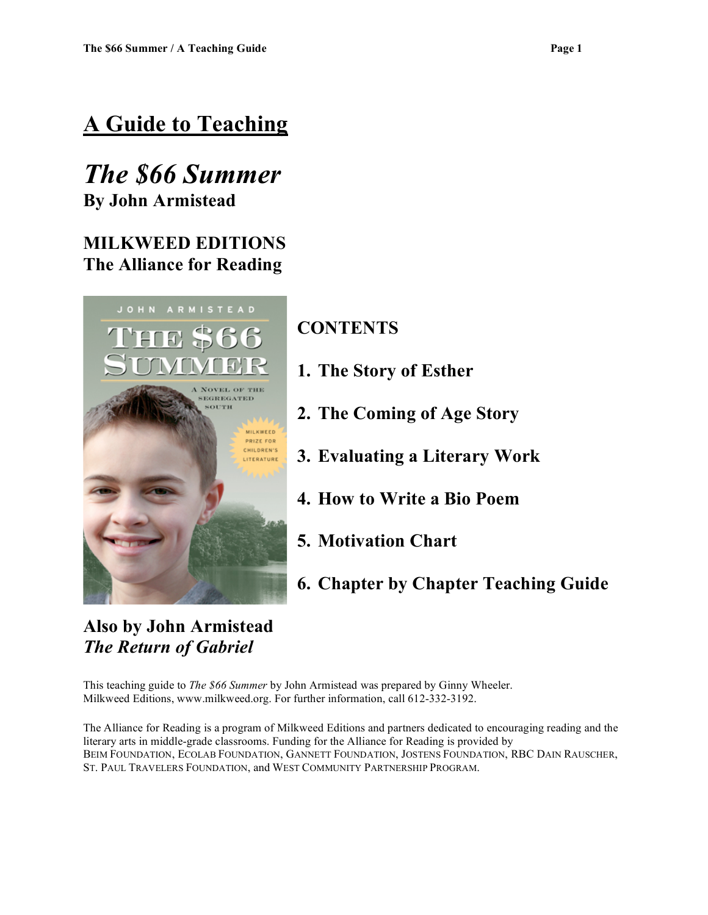# **A Guide to Teaching**

# *The \$66 Summer* **By John Armistead**

### **MILKWEED EDITIONS The Alliance for Reading**



**Also by John Armistead** *The Return of Gabriel*

### **CONTENTS**

- **1. The Story of Esther**
- **2. The Coming of Age Story**
- **3. Evaluating a Literary Work**
- **4. How to Write a Bio Poem**
- **5. Motivation Chart**
- **6. Chapter by Chapter Teaching Guide**

This teaching guide to *The \$66 Summer* by John Armistead was prepared by Ginny Wheeler. Milkweed Editions, www.milkweed.org. For further information, call 612-332-3192.

The Alliance for Reading is a program of Milkweed Editions and partners dedicated to encouraging reading and the literary arts in middle-grade classrooms. Funding for the Alliance for Reading is provided by BEIM FOUNDATION, ECOLAB FOUNDATION, GANNETT FOUNDATION, JOSTENS FOUNDATION, RBC DAIN RAUSCHER, ST. PAUL TRAVELERS FOUNDATION, and WEST COMMUNITY PARTNERSHIP PROGRAM.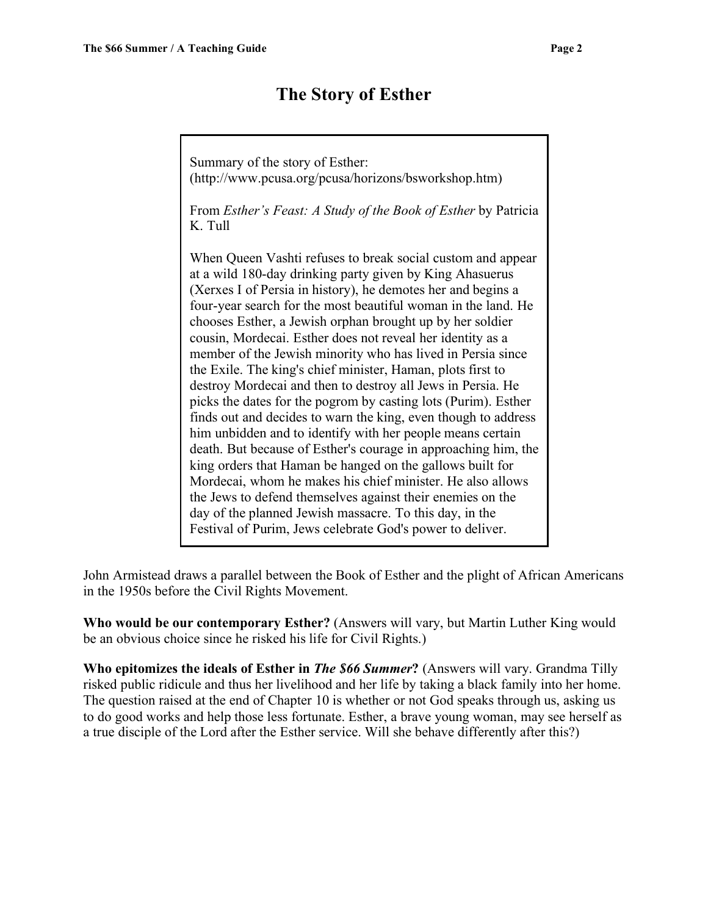### **The Story of Esther**

Summary of the story of Esther: (http://www.pcusa.org/pcusa/horizons/bsworkshop.htm) From *Esther's Feast: A Study of the Book of Esther* by Patricia K. Tull When Queen Vashti refuses to break social custom and appear at a wild 180-day drinking party given by King Ahasuerus (Xerxes I of Persia in history), he demotes her and begins a four-year search for the most beautiful woman in the land. He chooses Esther, a Jewish orphan brought up by her soldier cousin, Mordecai. Esther does not reveal her identity as a member of the Jewish minority who has lived in Persia since the Exile. The king's chief minister, Haman, plots first to destroy Mordecai and then to destroy all Jews in Persia. He picks the dates for the pogrom by casting lots (Purim). Esther finds out and decides to warn the king, even though to address him unbidden and to identify with her people means certain death. But because of Esther's courage in approaching him, the king orders that Haman be hanged on the gallows built for Mordecai, whom he makes his chief minister. He also allows the Jews to defend themselves against their enemies on the day of the planned Jewish massacre. To this day, in the Festival of Purim, Jews celebrate God's power to deliver.

John Armistead draws a parallel between the Book of Esther and the plight of African Americans in the 1950s before the Civil Rights Movement.

**Who would be our contemporary Esther?** (Answers will vary, but Martin Luther King would be an obvious choice since he risked his life for Civil Rights.)

**Who epitomizes the ideals of Esther in** *The \$66 Summer***?** (Answers will vary. Grandma Tilly risked public ridicule and thus her livelihood and her life by taking a black family into her home. The question raised at the end of Chapter 10 is whether or not God speaks through us, asking us to do good works and help those less fortunate. Esther, a brave young woman, may see herself as a true disciple of the Lord after the Esther service. Will she behave differently after this?)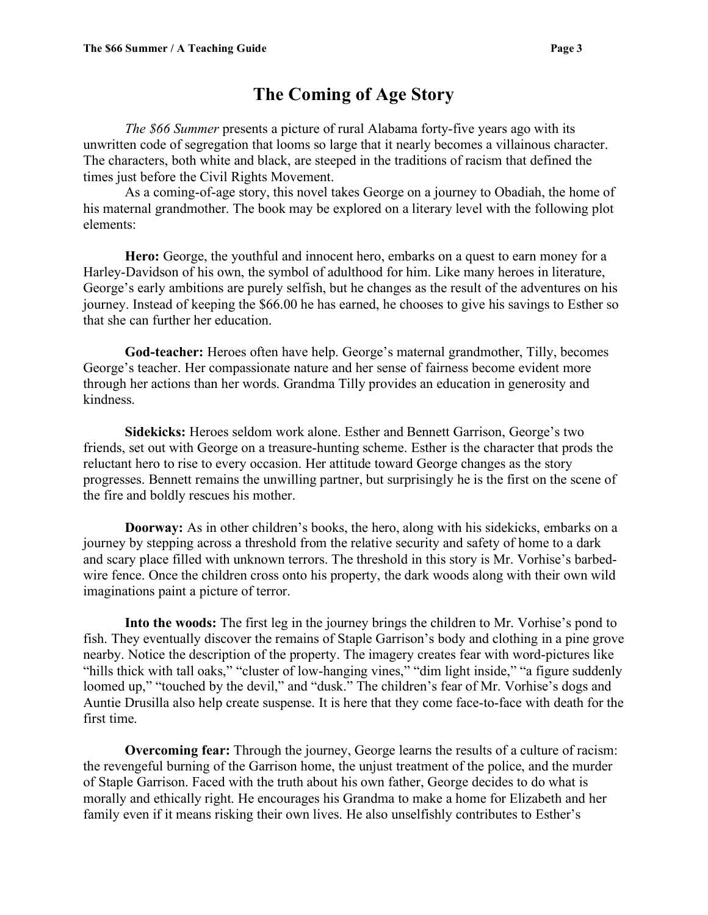### **The Coming of Age Story**

*The \$66 Summer* presents a picture of rural Alabama forty-five years ago with its unwritten code of segregation that looms so large that it nearly becomes a villainous character. The characters, both white and black, are steeped in the traditions of racism that defined the times just before the Civil Rights Movement.

As a coming-of-age story, this novel takes George on a journey to Obadiah, the home of his maternal grandmother. The book may be explored on a literary level with the following plot elements:

**Hero:** George, the youthful and innocent hero, embarks on a quest to earn money for a Harley-Davidson of his own, the symbol of adulthood for him. Like many heroes in literature, George's early ambitions are purely selfish, but he changes as the result of the adventures on his journey. Instead of keeping the \$66.00 he has earned, he chooses to give his savings to Esther so that she can further her education.

**God-teacher:** Heroes often have help. George's maternal grandmother, Tilly, becomes George's teacher. Her compassionate nature and her sense of fairness become evident more through her actions than her words. Grandma Tilly provides an education in generosity and kindness.

**Sidekicks:** Heroes seldom work alone. Esther and Bennett Garrison, George's two friends, set out with George on a treasure-hunting scheme. Esther is the character that prods the reluctant hero to rise to every occasion. Her attitude toward George changes as the story progresses. Bennett remains the unwilling partner, but surprisingly he is the first on the scene of the fire and boldly rescues his mother.

**Doorway:** As in other children's books, the hero, along with his sidekicks, embarks on a journey by stepping across a threshold from the relative security and safety of home to a dark and scary place filled with unknown terrors. The threshold in this story is Mr. Vorhise's barbedwire fence. Once the children cross onto his property, the dark woods along with their own wild imaginations paint a picture of terror.

**Into the woods:** The first leg in the journey brings the children to Mr. Vorhise's pond to fish. They eventually discover the remains of Staple Garrison's body and clothing in a pine grove nearby. Notice the description of the property. The imagery creates fear with word-pictures like "hills thick with tall oaks," "cluster of low-hanging vines," "dim light inside," "a figure suddenly loomed up," "touched by the devil," and "dusk." The children's fear of Mr. Vorhise's dogs and Auntie Drusilla also help create suspense. It is here that they come face-to-face with death for the first time.

**Overcoming fear:** Through the journey, George learns the results of a culture of racism: the revengeful burning of the Garrison home, the unjust treatment of the police, and the murder of Staple Garrison. Faced with the truth about his own father, George decides to do what is morally and ethically right. He encourages his Grandma to make a home for Elizabeth and her family even if it means risking their own lives. He also unselfishly contributes to Esther's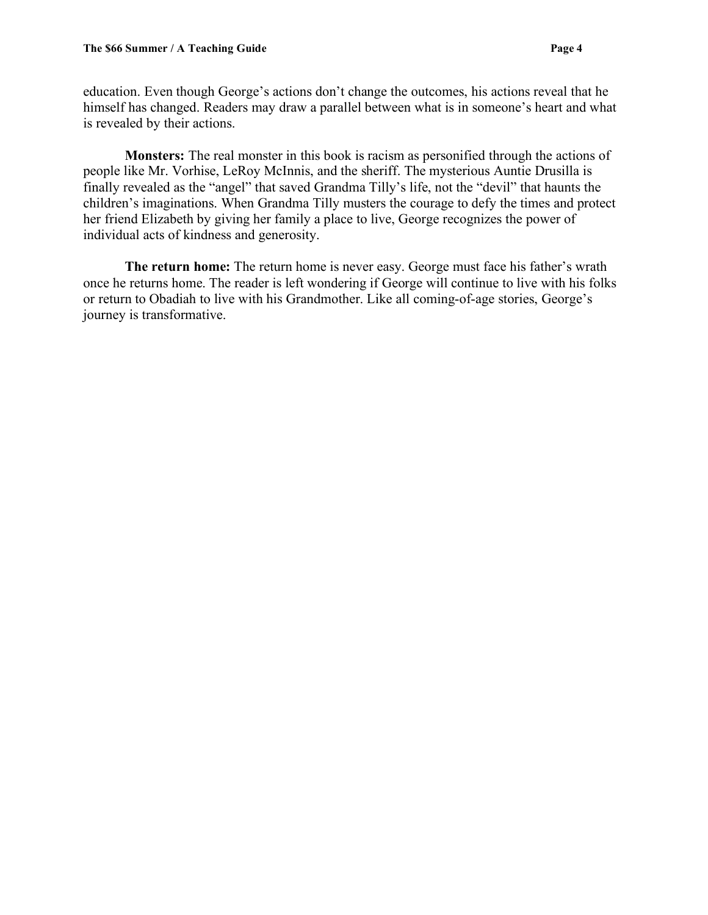education. Even though George's actions don't change the outcomes, his actions reveal that he himself has changed. Readers may draw a parallel between what is in someone's heart and what is revealed by their actions.

**Monsters:** The real monster in this book is racism as personified through the actions of people like Mr. Vorhise, LeRoy McInnis, and the sheriff. The mysterious Auntie Drusilla is finally revealed as the "angel" that saved Grandma Tilly's life, not the "devil" that haunts the children's imaginations. When Grandma Tilly musters the courage to defy the times and protect her friend Elizabeth by giving her family a place to live, George recognizes the power of individual acts of kindness and generosity.

**The return home:** The return home is never easy. George must face his father's wrath once he returns home. The reader is left wondering if George will continue to live with his folks or return to Obadiah to live with his Grandmother. Like all coming-of-age stories, George's journey is transformative.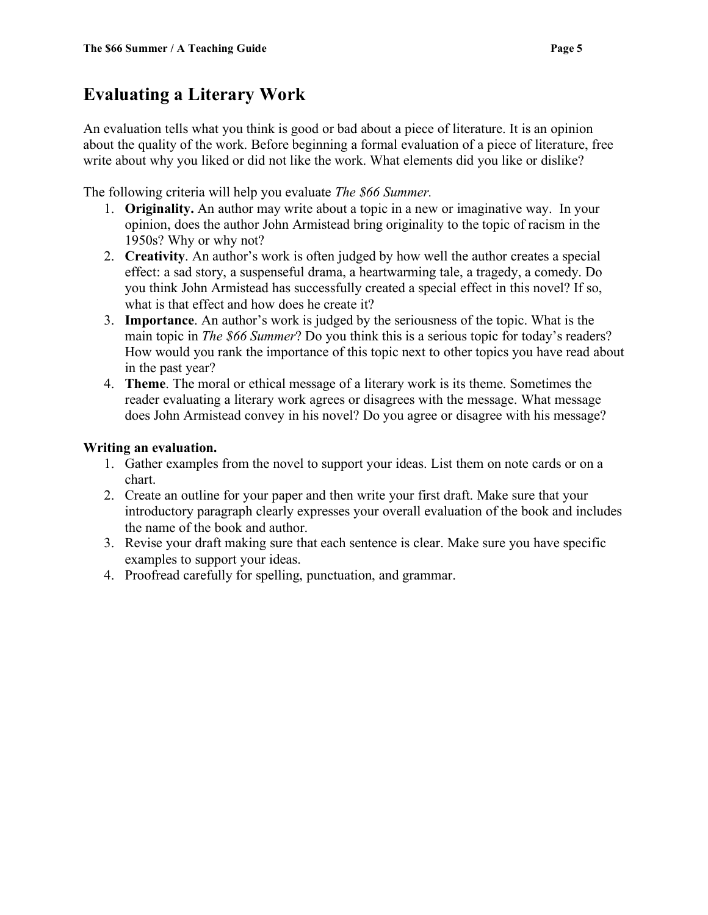### **Evaluating a Literary Work**

An evaluation tells what you think is good or bad about a piece of literature. It is an opinion about the quality of the work. Before beginning a formal evaluation of a piece of literature, free write about why you liked or did not like the work. What elements did you like or dislike?

The following criteria will help you evaluate *The \$66 Summer.*

- 1. **Originality.** An author may write about a topic in a new or imaginative way. In your opinion, does the author John Armistead bring originality to the topic of racism in the 1950s? Why or why not?
- 2. **Creativity**. An author's work is often judged by how well the author creates a special effect: a sad story, a suspenseful drama, a heartwarming tale, a tragedy, a comedy. Do you think John Armistead has successfully created a special effect in this novel? If so, what is that effect and how does he create it?
- 3. **Importance**. An author's work is judged by the seriousness of the topic. What is the main topic in *The \$66 Summer*? Do you think this is a serious topic for today's readers? How would you rank the importance of this topic next to other topics you have read about in the past year?
- 4. **Theme**. The moral or ethical message of a literary work is its theme. Sometimes the reader evaluating a literary work agrees or disagrees with the message. What message does John Armistead convey in his novel? Do you agree or disagree with his message?

### **Writing an evaluation.**

- 1. Gather examples from the novel to support your ideas. List them on note cards or on a chart.
- 2. Create an outline for your paper and then write your first draft. Make sure that your introductory paragraph clearly expresses your overall evaluation of the book and includes the name of the book and author.
- 3. Revise your draft making sure that each sentence is clear. Make sure you have specific examples to support your ideas.
- 4. Proofread carefully for spelling, punctuation, and grammar.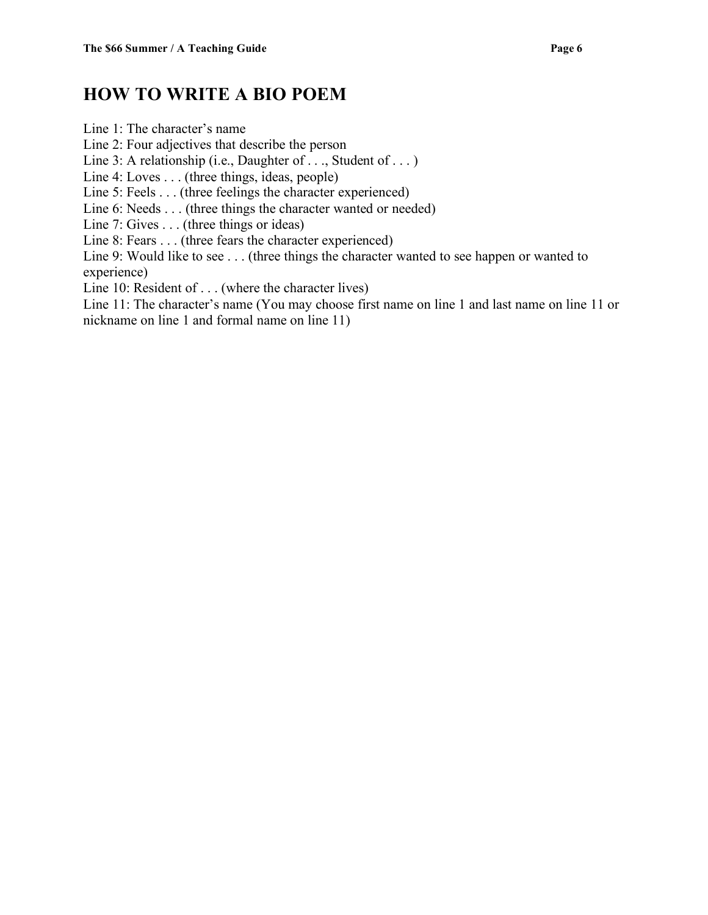### **HOW TO WRITE A BIO POEM**

Line 1: The character's name Line 2: Four adjectives that describe the person Line 3: A relationship (i.e., Daughter of . . ., Student of . . . ) Line 4: Loves . . . (three things, ideas, people) Line 5: Feels . . . (three feelings the character experienced) Line 6: Needs . . . (three things the character wanted or needed) Line 7: Gives . . . (three things or ideas) Line 8: Fears . . . (three fears the character experienced) Line 9: Would like to see . . . (three things the character wanted to see happen or wanted to experience) Line 10: Resident of . . . (where the character lives) Line 11: The character's name (You may choose first name on line 1 and last name on line 11 or

nickname on line 1 and formal name on line 11)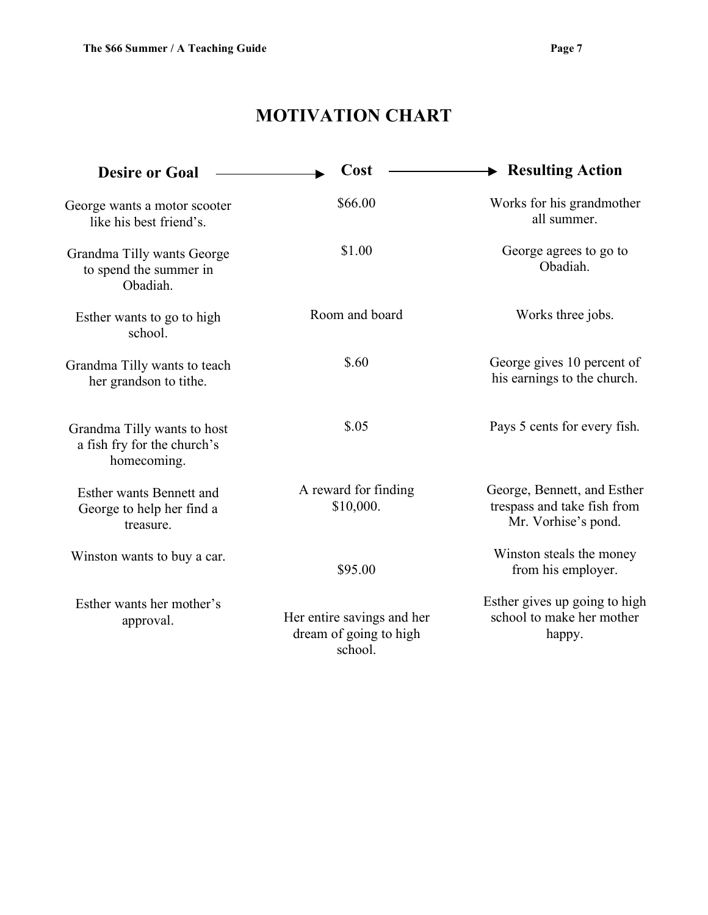# **MOTIVATION CHART**

| <b>Desire or Goal</b>                                                     | Cost                                                            | $\blacktriangleright$ Resulting Action                                            |
|---------------------------------------------------------------------------|-----------------------------------------------------------------|-----------------------------------------------------------------------------------|
| George wants a motor scooter<br>like his best friend's.                   | \$66.00                                                         | Works for his grandmother<br>all summer.                                          |
| Grandma Tilly wants George<br>to spend the summer in<br>Obadiah.          | \$1.00                                                          | George agrees to go to<br>Obadiah.                                                |
| Esther wants to go to high<br>school.                                     | Room and board                                                  | Works three jobs.                                                                 |
| Grandma Tilly wants to teach<br>her grandson to tithe.                    | \$.60                                                           | George gives 10 percent of<br>his earnings to the church.                         |
| Grandma Tilly wants to host<br>a fish fry for the church's<br>homecoming. | \$.05                                                           | Pays 5 cents for every fish.                                                      |
| Esther wants Bennett and<br>George to help her find a<br>treasure.        | A reward for finding<br>\$10,000.                               | George, Bennett, and Esther<br>trespass and take fish from<br>Mr. Vorhise's pond. |
| Winston wants to buy a car.                                               | \$95.00                                                         | Winston steals the money<br>from his employer.                                    |
| Esther wants her mother's<br>approval.                                    | Her entire savings and her<br>dream of going to high<br>school. | Esther gives up going to high<br>school to make her mother<br>happy.              |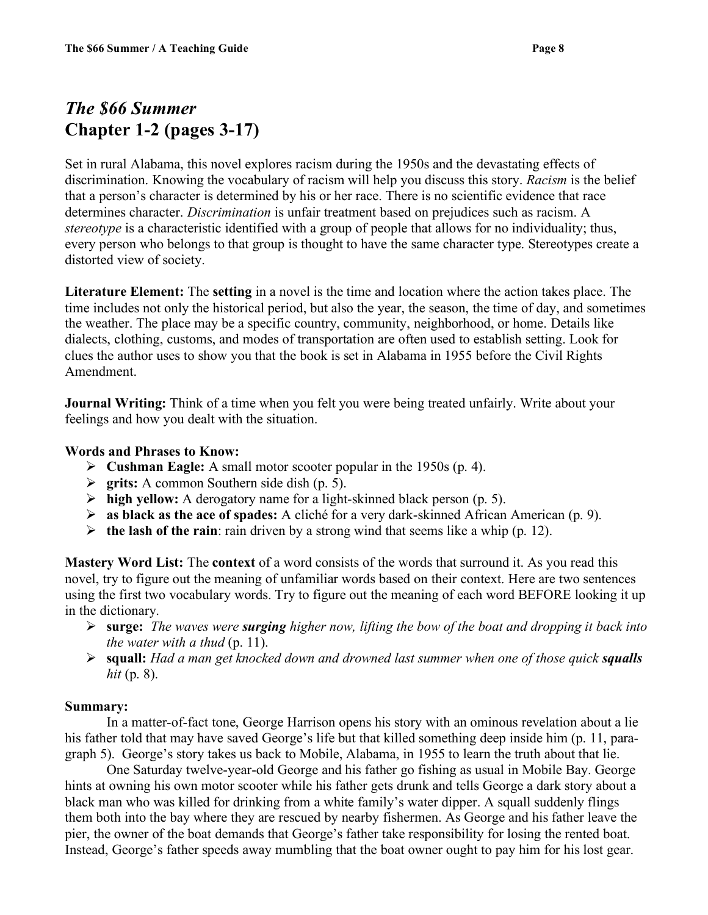# *The \$66 Summer* **Chapter 1-2 (pages 3-17)**

Set in rural Alabama, this novel explores racism during the 1950s and the devastating effects of discrimination. Knowing the vocabulary of racism will help you discuss this story. *Racism* is the belief that a person's character is determined by his or her race. There is no scientific evidence that race determines character. *Discrimination* is unfair treatment based on prejudices such as racism. A *stereotype* is a characteristic identified with a group of people that allows for no individuality; thus, every person who belongs to that group is thought to have the same character type. Stereotypes create a distorted view of society.

**Literature Element:** The **setting** in a novel is the time and location where the action takes place. The time includes not only the historical period, but also the year, the season, the time of day, and sometimes the weather. The place may be a specific country, community, neighborhood, or home. Details like dialects, clothing, customs, and modes of transportation are often used to establish setting. Look for clues the author uses to show you that the book is set in Alabama in 1955 before the Civil Rights Amendment.

**Journal Writing:** Think of a time when you felt you were being treated unfairly. Write about your feelings and how you dealt with the situation.

#### **Words and Phrases to Know:**

- **Cushman Eagle:** A small motor scooter popular in the 1950s (p. 4).
- **grits:** A common Southern side dish (p. 5).
- **high yellow:** A derogatory name for a light-skinned black person (p. 5).
- **as black as the ace of spades:** A cliché for a very dark-skinned African American (p. 9).
- **the lash of the rain**: rain driven by a strong wind that seems like a whip (p. 12).

**Mastery Word List:** The **context** of a word consists of the words that surround it. As you read this novel, try to figure out the meaning of unfamiliar words based on their context. Here are two sentences using the first two vocabulary words. Try to figure out the meaning of each word BEFORE looking it up in the dictionary.

- **surge:** *The waves were surging higher now, lifting the bow of the boat and dropping it back into the water with a thud* (p. 11).
- **squall:** *Had a man get knocked down and drowned last summer when one of those quick squalls hit* (p. 8).

#### **Summary:**

In a matter-of-fact tone, George Harrison opens his story with an ominous revelation about a lie his father told that may have saved George's life but that killed something deep inside him (p. 11, paragraph 5). George's story takes us back to Mobile, Alabama, in 1955 to learn the truth about that lie.

One Saturday twelve-year-old George and his father go fishing as usual in Mobile Bay. George hints at owning his own motor scooter while his father gets drunk and tells George a dark story about a black man who was killed for drinking from a white family's water dipper. A squall suddenly flings them both into the bay where they are rescued by nearby fishermen. As George and his father leave the pier, the owner of the boat demands that George's father take responsibility for losing the rented boat. Instead, George's father speeds away mumbling that the boat owner ought to pay him for his lost gear.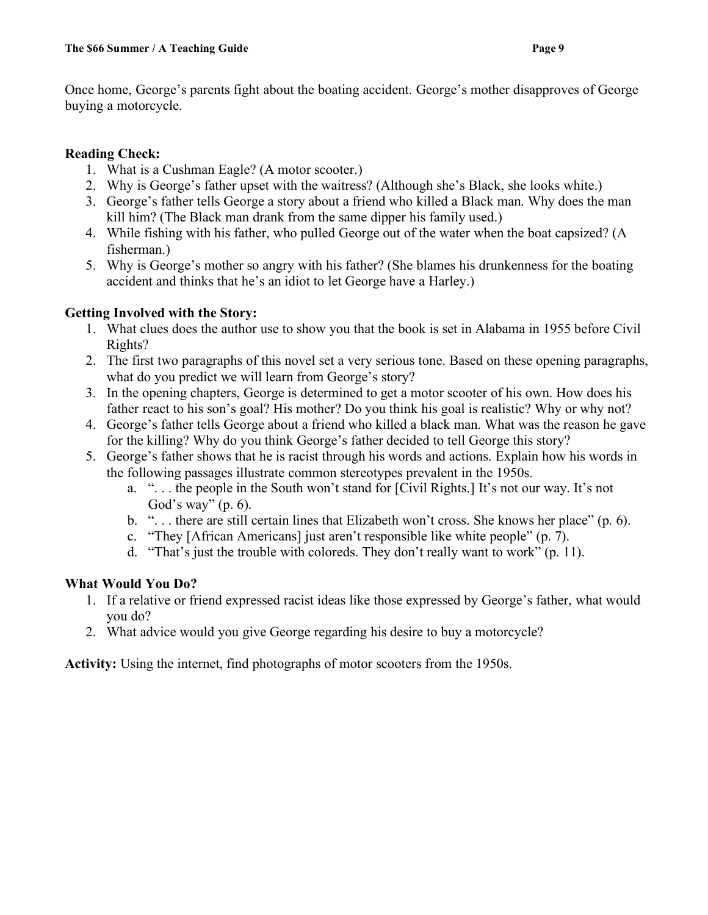Once home, George's parents fight about the boating accident. George's mother disapproves of George buying a motorcycle.

### **Reading Check:**

- 1. What is a Cushman Eagle? (A motor scooter.)
- 2. Why is George's father upset with the waitress? (Although she's Black, she looks white.)
- 3. George's father tells George a story about a friend who killed a Black man. Why does the man kill him? (The Black man drank from the same dipper his family used.)
- 4. While fishing with his father, who pulled George out of the water when the boat capsized? (A fisherman.)
- 5. Why is George's mother so angry with his father? (She blames his drunkenness for the boating accident and thinks that he's an idiot to let George have a Harley.)

### **Getting Involved with the Story:**

- 1. What clues does the author use to show you that the book is set in Alabama in 1955 before Civil Rights?
- 2. The first two paragraphs of this novel set a very serious tone. Based on these opening paragraphs, what do you predict we will learn from George's story?
- 3. In the opening chapters, George is determined to get a motor scooter of his own. How does his father react to his son's goal? His mother? Do you think his goal is realistic? Why or why not?
- 4. George's father tells George about a friend who killed a black man. What was the reason he gave for the killing? Why do you think George's father decided to tell George this story?
- 5. George's father shows that he is racist through his words and actions. Explain how his words in the following passages illustrate common stereotypes prevalent in the 1950s.
	- a. ". . . the people in the South won't stand for [Civil Rights.] It's not our way. It's not God's way" (p. 6).
	- b. ". . . there are still certain lines that Elizabeth won't cross. She knows her place" (p. 6).
	- c. "They [African Americans] just aren't responsible like white people" (p. 7).
	- d. "That's just the trouble with coloreds. They don't really want to work" (p. 11).

### **What Would You Do?**

- 1. If a relative or friend expressed racist ideas like those expressed by George's father, what would you do?
- 2. What advice would you give George regarding his desire to buy a motorcycle?

**Activity:** Using the internet, find photographs of motor scooters from the 1950s.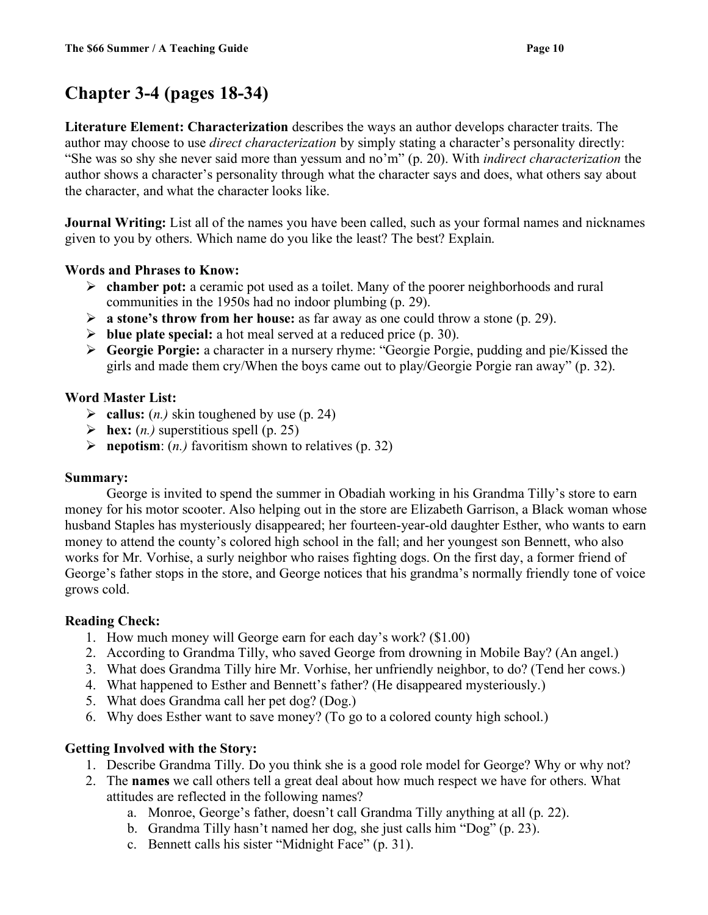# **Chapter 3-4 (pages 18-34)**

**Literature Element: Characterization** describes the ways an author develops character traits. The author may choose to use *direct characterization* by simply stating a character's personality directly: "She was so shy she never said more than yessum and no'm" (p. 20). With *indirect characterization* the author shows a character's personality through what the character says and does, what others say about the character, and what the character looks like.

**Journal Writing:** List all of the names you have been called, such as your formal names and nicknames given to you by others. Which name do you like the least? The best? Explain.

### **Words and Phrases to Know:**

- **chamber pot:** a ceramic pot used as a toilet. Many of the poorer neighborhoods and rural communities in the 1950s had no indoor plumbing (p. 29).
- **a stone's throw from her house:** as far away as one could throw a stone (p. 29).
- **blue plate special:** a hot meal served at a reduced price (p. 30).
- **Georgie Porgie:** a character in a nursery rhyme: "Georgie Porgie, pudding and pie/Kissed the girls and made them cry/When the boys came out to play/Georgie Porgie ran away" (p. 32).

### **Word Master List:**

- $\triangleright$  callus: (*n*.) skin toughened by use (p. 24)
- $\triangleright$  **hex:** (*n.*) superstitious spell (p. 25)
- $\triangleright$  **nepotism**: (*n.*) favoritism shown to relatives (p. 32)

### **Summary:**

George is invited to spend the summer in Obadiah working in his Grandma Tilly's store to earn money for his motor scooter. Also helping out in the store are Elizabeth Garrison, a Black woman whose husband Staples has mysteriously disappeared; her fourteen-year-old daughter Esther, who wants to earn money to attend the county's colored high school in the fall; and her youngest son Bennett, who also works for Mr. Vorhise, a surly neighbor who raises fighting dogs. On the first day, a former friend of George's father stops in the store, and George notices that his grandma's normally friendly tone of voice grows cold.

### **Reading Check:**

- 1. How much money will George earn for each day's work? (\$1.00)
- 2. According to Grandma Tilly, who saved George from drowning in Mobile Bay? (An angel.)
- 3. What does Grandma Tilly hire Mr. Vorhise, her unfriendly neighbor, to do? (Tend her cows.)
- 4. What happened to Esther and Bennett's father? (He disappeared mysteriously.)
- 5. What does Grandma call her pet dog? (Dog.)
- 6. Why does Esther want to save money? (To go to a colored county high school.)

### **Getting Involved with the Story:**

- 1. Describe Grandma Tilly. Do you think she is a good role model for George? Why or why not?
- 2. The **names** we call others tell a great deal about how much respect we have for others. What attitudes are reflected in the following names?
	- a. Monroe, George's father, doesn't call Grandma Tilly anything at all (p. 22).
	- b. Grandma Tilly hasn't named her dog, she just calls him "Dog" (p. 23).
	- c. Bennett calls his sister "Midnight Face" (p. 31).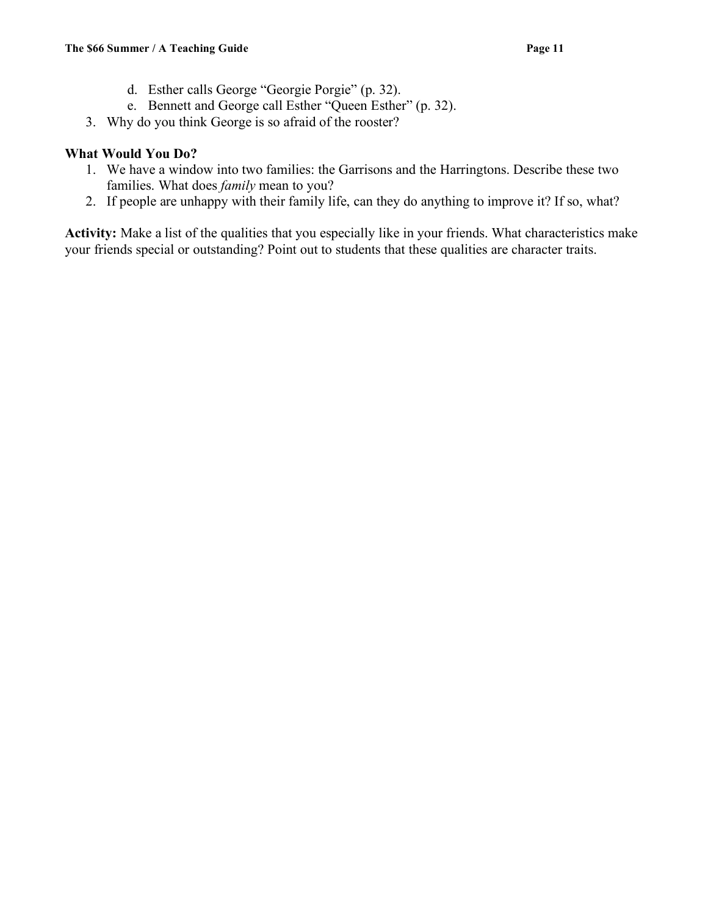- d. Esther calls George "Georgie Porgie" (p. 32).
- e. Bennett and George call Esther "Queen Esther" (p. 32).
- 3. Why do you think George is so afraid of the rooster?

### **What Would You Do?**

- 1. We have a window into two families: the Garrisons and the Harringtons. Describe these two families. What does *family* mean to you?
- 2. If people are unhappy with their family life, can they do anything to improve it? If so, what?

**Activity:** Make a list of the qualities that you especially like in your friends. What characteristics make your friends special or outstanding? Point out to students that these qualities are character traits.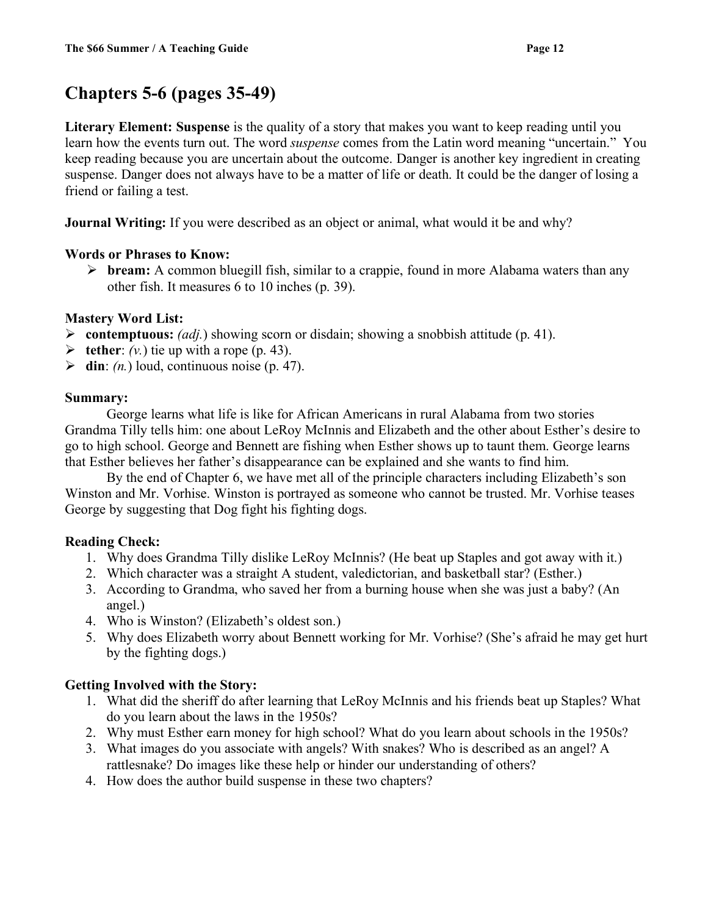# **Chapters 5-6 (pages 35-49)**

**Literary Element: Suspense** is the quality of a story that makes you want to keep reading until you learn how the events turn out. The word *suspense* comes from the Latin word meaning "uncertain." You keep reading because you are uncertain about the outcome. Danger is another key ingredient in creating suspense. Danger does not always have to be a matter of life or death. It could be the danger of losing a friend or failing a test.

**Journal Writing:** If you were described as an object or animal, what would it be and why?

### **Words or Phrases to Know:**

 **bream:** A common bluegill fish, similar to a crappie, found in more Alabama waters than any other fish. It measures 6 to 10 inches (p. 39).

### **Mastery Word List:**

- **Example 10 Solution** Straightleright Superior Containing a smooth statistical exponent on the containing  $\epsilon$  as a smooth statistic (p. 41).
- $\triangleright$  **tether**: *(v.)* tie up with a rope (p. 43).
- $\triangleright$  **din**: *(n.)* loud, continuous noise (p. 47).

### **Summary:**

George learns what life is like for African Americans in rural Alabama from two stories Grandma Tilly tells him: one about LeRoy McInnis and Elizabeth and the other about Esther's desire to go to high school. George and Bennett are fishing when Esther shows up to taunt them. George learns that Esther believes her father's disappearance can be explained and she wants to find him.

By the end of Chapter 6, we have met all of the principle characters including Elizabeth's son Winston and Mr. Vorhise. Winston is portrayed as someone who cannot be trusted. Mr. Vorhise teases George by suggesting that Dog fight his fighting dogs.

### **Reading Check:**

- 1. Why does Grandma Tilly dislike LeRoy McInnis? (He beat up Staples and got away with it.)
- 2. Which character was a straight A student, valedictorian, and basketball star? (Esther.)
- 3. According to Grandma, who saved her from a burning house when she was just a baby? (An angel.)
- 4. Who is Winston? (Elizabeth's oldest son.)
- 5. Why does Elizabeth worry about Bennett working for Mr. Vorhise? (She's afraid he may get hurt by the fighting dogs.)

### **Getting Involved with the Story:**

- 1. What did the sheriff do after learning that LeRoy McInnis and his friends beat up Staples? What do you learn about the laws in the 1950s?
- 2. Why must Esther earn money for high school? What do you learn about schools in the 1950s?
- 3. What images do you associate with angels? With snakes? Who is described as an angel? A rattlesnake? Do images like these help or hinder our understanding of others?
- 4. How does the author build suspense in these two chapters?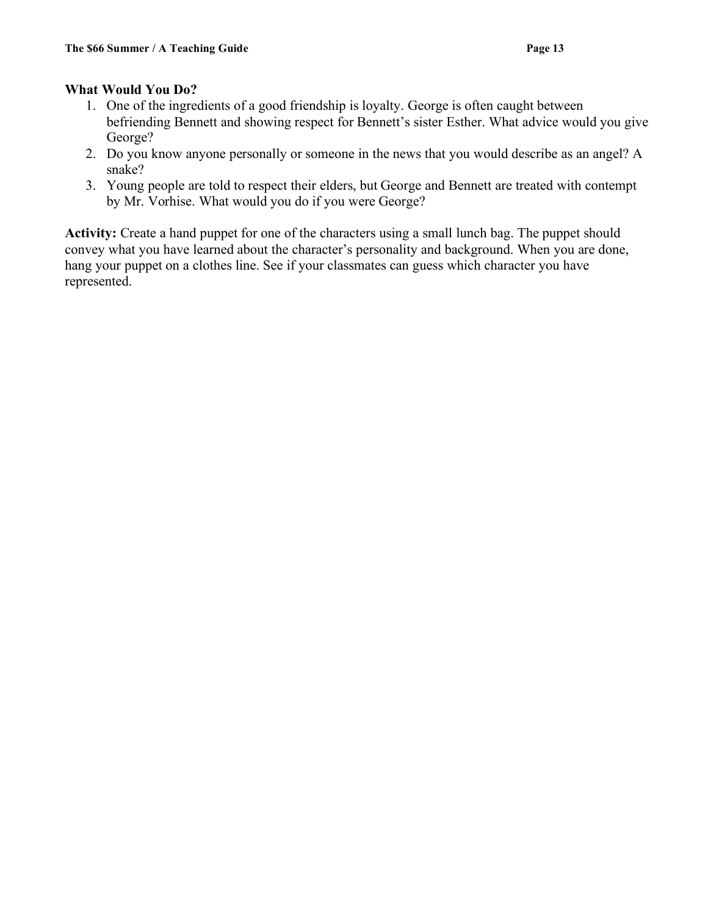### **What Would You Do?**

- 1. One of the ingredients of a good friendship is loyalty. George is often caught between befriending Bennett and showing respect for Bennett's sister Esther. What advice would you give George?
- 2. Do you know anyone personally or someone in the news that you would describe as an angel? A snake?
- 3. Young people are told to respect their elders, but George and Bennett are treated with contempt by Mr. Vorhise. What would you do if you were George?

**Activity:** Create a hand puppet for one of the characters using a small lunch bag. The puppet should convey what you have learned about the character's personality and background. When you are done, hang your puppet on a clothes line. See if your classmates can guess which character you have represented.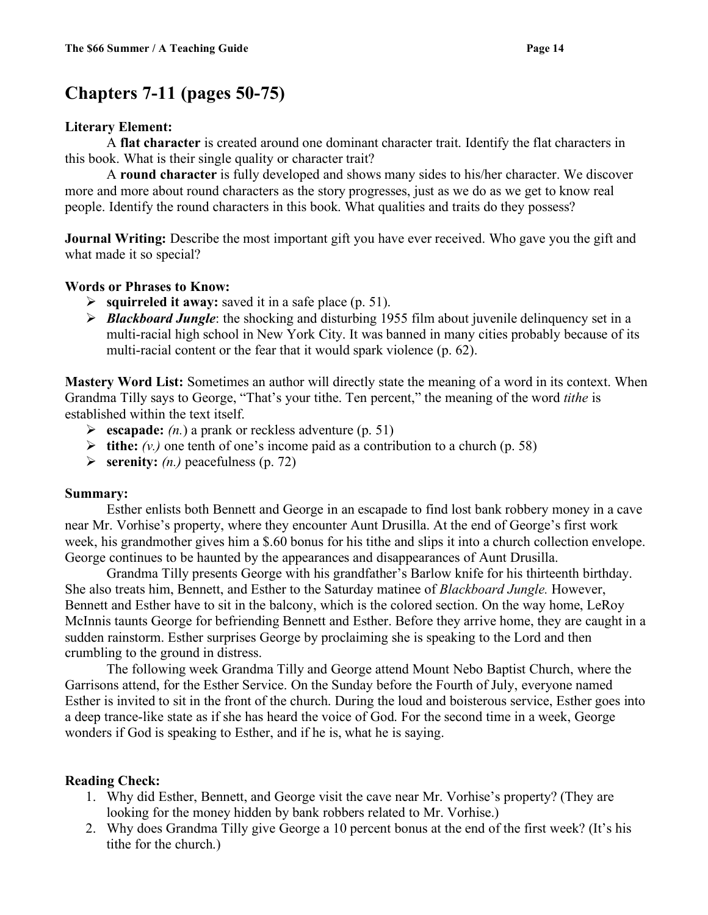### **Chapters 7-11 (pages 50-75)**

### **Literary Element:**

A **flat character** is created around one dominant character trait. Identify the flat characters in this book. What is their single quality or character trait?

A **round character** is fully developed and shows many sides to his/her character. We discover more and more about round characters as the story progresses, just as we do as we get to know real people. Identify the round characters in this book. What qualities and traits do they possess?

**Journal Writing:** Describe the most important gift you have ever received. Who gave you the gift and what made it so special?

### **Words or Phrases to Know:**

- **squirreled it away:** saved it in a safe place (p. 51).
- *Blackboard Jungle*: the shocking and disturbing 1955 film about juvenile delinquency set in a multi-racial high school in New York City. It was banned in many cities probably because of its multi-racial content or the fear that it would spark violence (p. 62).

**Mastery Word List:** Sometimes an author will directly state the meaning of a word in its context. When Grandma Tilly says to George, "That's your tithe. Ten percent," the meaning of the word *tithe* is established within the text itself.

- **escapade:** *(n.*) a prank or reckless adventure (p. 51)
- $\triangleright$  **tithe:**  $(v_i)$  one tenth of one's income paid as a contribution to a church (p. 58)
- $\triangleright$  **serenity:** *(n.)* peacefulness (p. 72)

### **Summary:**

Esther enlists both Bennett and George in an escapade to find lost bank robbery money in a cave near Mr. Vorhise's property, where they encounter Aunt Drusilla. At the end of George's first work week, his grandmother gives him a \$.60 bonus for his tithe and slips it into a church collection envelope. George continues to be haunted by the appearances and disappearances of Aunt Drusilla.

Grandma Tilly presents George with his grandfather's Barlow knife for his thirteenth birthday. She also treats him, Bennett, and Esther to the Saturday matinee of *Blackboard Jungle.* However, Bennett and Esther have to sit in the balcony, which is the colored section. On the way home, LeRoy McInnis taunts George for befriending Bennett and Esther. Before they arrive home, they are caught in a sudden rainstorm. Esther surprises George by proclaiming she is speaking to the Lord and then crumbling to the ground in distress.

The following week Grandma Tilly and George attend Mount Nebo Baptist Church, where the Garrisons attend, for the Esther Service. On the Sunday before the Fourth of July, everyone named Esther is invited to sit in the front of the church. During the loud and boisterous service, Esther goes into a deep trance-like state as if she has heard the voice of God. For the second time in a week, George wonders if God is speaking to Esther, and if he is, what he is saying.

### **Reading Check:**

- 1. Why did Esther, Bennett, and George visit the cave near Mr. Vorhise's property? (They are looking for the money hidden by bank robbers related to Mr. Vorhise.)
- 2. Why does Grandma Tilly give George a 10 percent bonus at the end of the first week? (It's his tithe for the church.)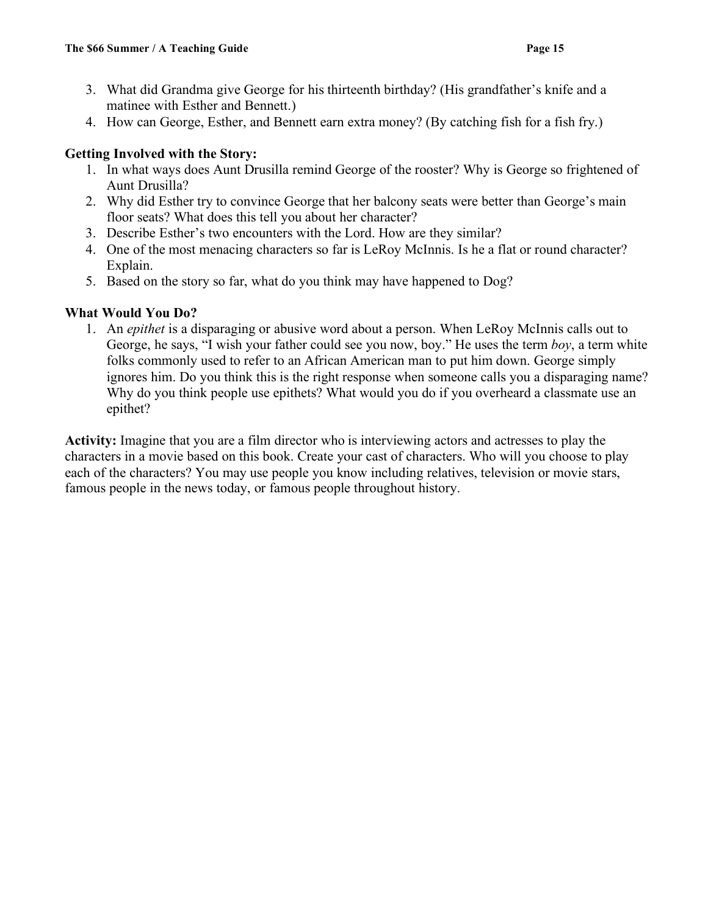- 3. What did Grandma give George for his thirteenth birthday? (His grandfather's knife and a matinee with Esther and Bennett.)
- 4. How can George, Esther, and Bennett earn extra money? (By catching fish for a fish fry.)

### **Getting Involved with the Story:**

- 1. In what ways does Aunt Drusilla remind George of the rooster? Why is George so frightened of Aunt Drusilla?
- 2. Why did Esther try to convince George that her balcony seats were better than George's main floor seats? What does this tell you about her character?
- 3. Describe Esther's two encounters with the Lord. How are they similar?
- 4. One of the most menacing characters so far is LeRoy McInnis. Is he a flat or round character? Explain.
- 5. Based on the story so far, what do you think may have happened to Dog?

### **What Would You Do?**

1. An *epithet* is a disparaging or abusive word about a person. When LeRoy McInnis calls out to George, he says, "I wish your father could see you now, boy." He uses the term *boy*, a term white folks commonly used to refer to an African American man to put him down. George simply ignores him. Do you think this is the right response when someone calls you a disparaging name? Why do you think people use epithets? What would you do if you overheard a classmate use an epithet?

**Activity:** Imagine that you are a film director who is interviewing actors and actresses to play the characters in a movie based on this book. Create your cast of characters. Who will you choose to play each of the characters? You may use people you know including relatives, television or movie stars, famous people in the news today, or famous people throughout history.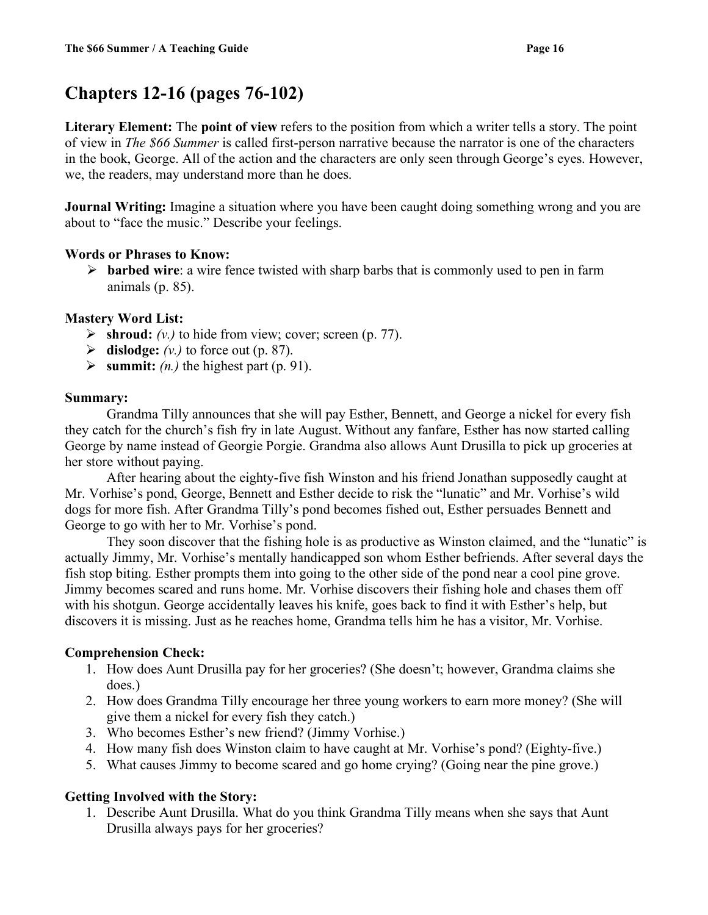# **Chapters 12-16 (pages 76-102)**

**Literary Element:** The **point of view** refers to the position from which a writer tells a story. The point of view in *The \$66 Summer* is called first-person narrative because the narrator is one of the characters in the book, George. All of the action and the characters are only seen through George's eyes. However, we, the readers, may understand more than he does.

**Journal Writing:** Imagine a situation where you have been caught doing something wrong and you are about to "face the music." Describe your feelings.

### **Words or Phrases to Know:**

 **barbed wire**: a wire fence twisted with sharp barbs that is commonly used to pen in farm animals (p. 85).

### **Mastery Word List:**

- $\triangleright$  **shroud:** *(v.)* to hide from view; cover; screen (p. 77).
- $\triangleright$  **dislodge:** *(v.)* to force out (p. 87).
- $\triangleright$  summit: *(n.)* the highest part (p. 91).

### **Summary:**

Grandma Tilly announces that she will pay Esther, Bennett, and George a nickel for every fish they catch for the church's fish fry in late August. Without any fanfare, Esther has now started calling George by name instead of Georgie Porgie. Grandma also allows Aunt Drusilla to pick up groceries at her store without paying.

After hearing about the eighty-five fish Winston and his friend Jonathan supposedly caught at Mr. Vorhise's pond, George, Bennett and Esther decide to risk the "lunatic" and Mr. Vorhise's wild dogs for more fish. After Grandma Tilly's pond becomes fished out, Esther persuades Bennett and George to go with her to Mr. Vorhise's pond.

They soon discover that the fishing hole is as productive as Winston claimed, and the "lunatic" is actually Jimmy, Mr. Vorhise's mentally handicapped son whom Esther befriends. After several days the fish stop biting. Esther prompts them into going to the other side of the pond near a cool pine grove. Jimmy becomes scared and runs home. Mr. Vorhise discovers their fishing hole and chases them off with his shotgun. George accidentally leaves his knife, goes back to find it with Esther's help, but discovers it is missing. Just as he reaches home, Grandma tells him he has a visitor, Mr. Vorhise.

### **Comprehension Check:**

- 1. How does Aunt Drusilla pay for her groceries? (She doesn't; however, Grandma claims she does.)
- 2. How does Grandma Tilly encourage her three young workers to earn more money? (She will give them a nickel for every fish they catch.)
- 3. Who becomes Esther's new friend? (Jimmy Vorhise.)
- 4. How many fish does Winston claim to have caught at Mr. Vorhise's pond? (Eighty-five.)
- 5. What causes Jimmy to become scared and go home crying? (Going near the pine grove.)

### **Getting Involved with the Story:**

1. Describe Aunt Drusilla. What do you think Grandma Tilly means when she says that Aunt Drusilla always pays for her groceries?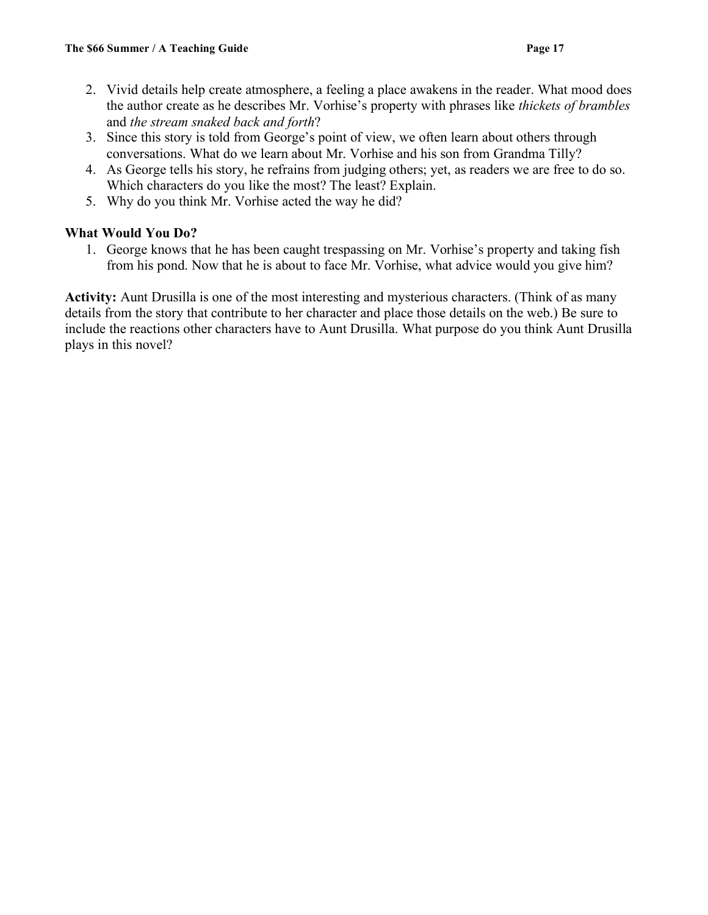- 2. Vivid details help create atmosphere, a feeling a place awakens in the reader. What mood does the author create as he describes Mr. Vorhise's property with phrases like *thickets of brambles* and *the stream snaked back and forth*?
- 3. Since this story is told from George's point of view, we often learn about others through conversations. What do we learn about Mr. Vorhise and his son from Grandma Tilly?
- 4. As George tells his story, he refrains from judging others; yet, as readers we are free to do so. Which characters do you like the most? The least? Explain.
- 5. Why do you think Mr. Vorhise acted the way he did?

### **What Would You Do?**

1. George knows that he has been caught trespassing on Mr. Vorhise's property and taking fish from his pond. Now that he is about to face Mr. Vorhise, what advice would you give him?

**Activity:** Aunt Drusilla is one of the most interesting and mysterious characters. (Think of as many details from the story that contribute to her character and place those details on the web.) Be sure to include the reactions other characters have to Aunt Drusilla. What purpose do you think Aunt Drusilla plays in this novel?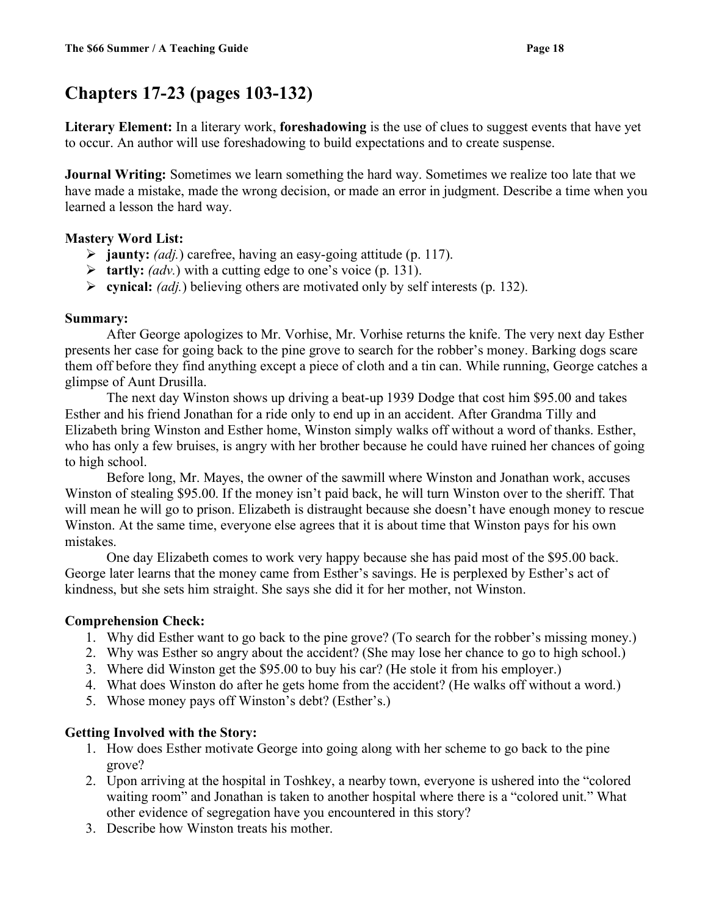# **Chapters 17-23 (pages 103-132)**

**Literary Element:** In a literary work, **foreshadowing** is the use of clues to suggest events that have yet to occur. An author will use foreshadowing to build expectations and to create suspense.

**Journal Writing:** Sometimes we learn something the hard way. Sometimes we realize too late that we have made a mistake, made the wrong decision, or made an error in judgment. Describe a time when you learned a lesson the hard way.

### **Mastery Word List:**

- **jaunty:** *(adj.*) carefree, having an easy-going attitude (p. 117).
- **tartly:** *(adv.*) with a cutting edge to one's voice (p. 131).
- **cynical:** *(adj.*) believing others are motivated only by self interests (p. 132).

### **Summary:**

After George apologizes to Mr. Vorhise, Mr. Vorhise returns the knife. The very next day Esther presents her case for going back to the pine grove to search for the robber's money. Barking dogs scare them off before they find anything except a piece of cloth and a tin can. While running, George catches a glimpse of Aunt Drusilla.

The next day Winston shows up driving a beat-up 1939 Dodge that cost him \$95.00 and takes Esther and his friend Jonathan for a ride only to end up in an accident. After Grandma Tilly and Elizabeth bring Winston and Esther home, Winston simply walks off without a word of thanks. Esther, who has only a few bruises, is angry with her brother because he could have ruined her chances of going to high school.

Before long, Mr. Mayes, the owner of the sawmill where Winston and Jonathan work, accuses Winston of stealing \$95.00. If the money isn't paid back, he will turn Winston over to the sheriff. That will mean he will go to prison. Elizabeth is distraught because she doesn't have enough money to rescue Winston. At the same time, everyone else agrees that it is about time that Winston pays for his own mistakes.

One day Elizabeth comes to work very happy because she has paid most of the \$95.00 back. George later learns that the money came from Esther's savings. He is perplexed by Esther's act of kindness, but she sets him straight. She says she did it for her mother, not Winston.

### **Comprehension Check:**

- 1. Why did Esther want to go back to the pine grove? (To search for the robber's missing money.)
- 2. Why was Esther so angry about the accident? (She may lose her chance to go to high school.)
- 3. Where did Winston get the \$95.00 to buy his car? (He stole it from his employer.)
- 4. What does Winston do after he gets home from the accident? (He walks off without a word.)
- 5. Whose money pays off Winston's debt? (Esther's.)

### **Getting Involved with the Story:**

- 1. How does Esther motivate George into going along with her scheme to go back to the pine grove?
- 2. Upon arriving at the hospital in Toshkey, a nearby town, everyone is ushered into the "colored waiting room" and Jonathan is taken to another hospital where there is a "colored unit." What other evidence of segregation have you encountered in this story?
- 3. Describe how Winston treats his mother.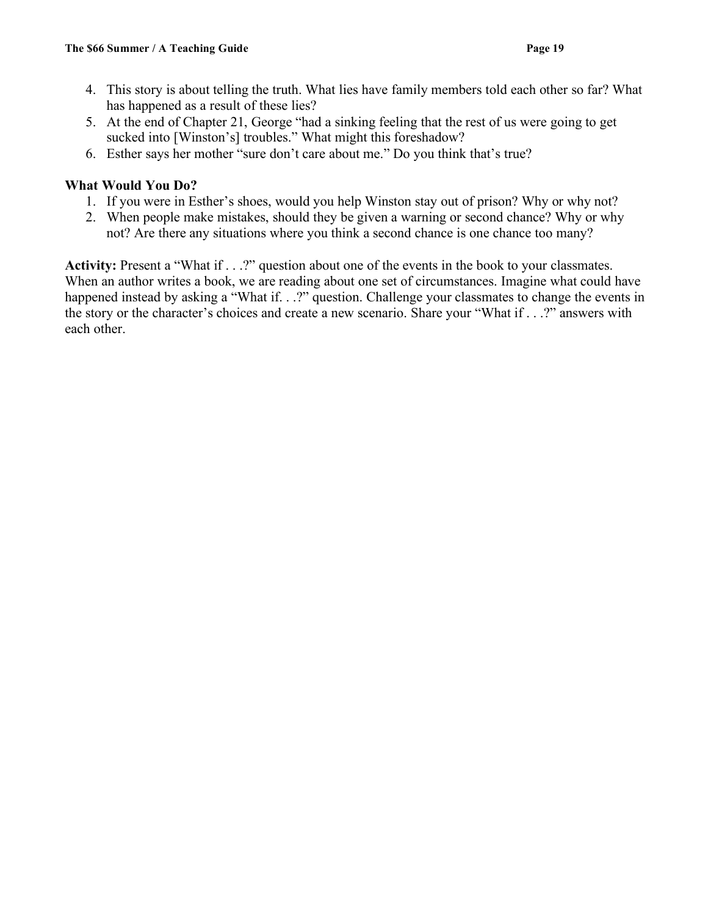- 4. This story is about telling the truth. What lies have family members told each other so far? What has happened as a result of these lies?
- 5. At the end of Chapter 21, George "had a sinking feeling that the rest of us were going to get sucked into [Winston's] troubles." What might this foreshadow?
- 6. Esther says her mother "sure don't care about me." Do you think that's true?

### **What Would You Do?**

- 1. If you were in Esther's shoes, would you help Winston stay out of prison? Why or why not?
- 2. When people make mistakes, should they be given a warning or second chance? Why or why not? Are there any situations where you think a second chance is one chance too many?

**Activity:** Present a "What if . . .?" question about one of the events in the book to your classmates. When an author writes a book, we are reading about one set of circumstances. Imagine what could have happened instead by asking a "What if. . .?" question. Challenge your classmates to change the events in the story or the character's choices and create a new scenario. Share your "What if . . .?" answers with each other.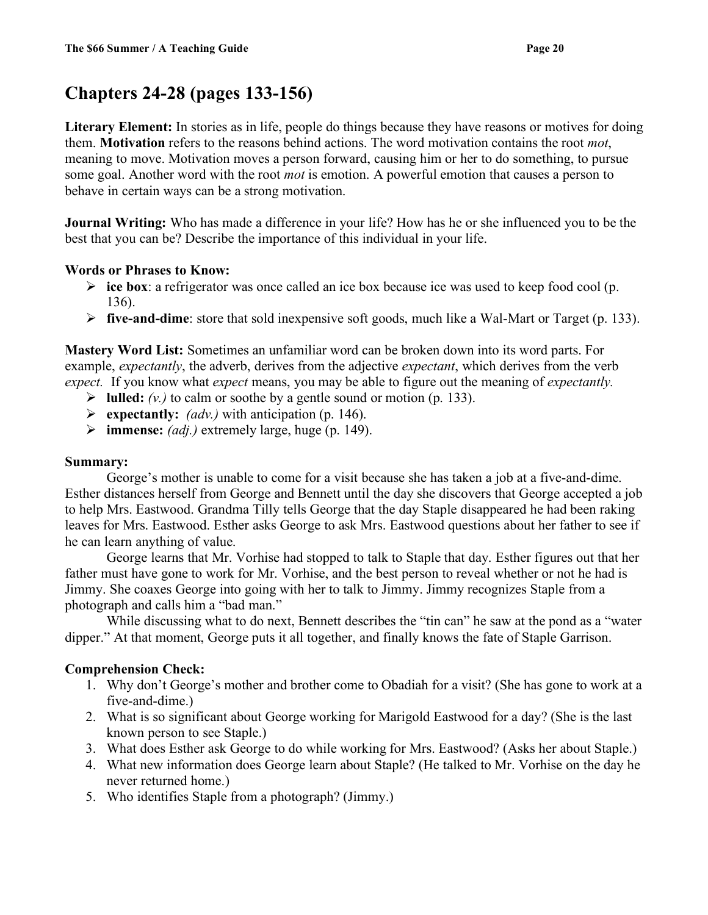### **Chapters 24-28 (pages 133-156)**

**Literary Element:** In stories as in life, people do things because they have reasons or motives for doing them. **Motivation** refers to the reasons behind actions. The word motivation contains the root *mot*, meaning to move. Motivation moves a person forward, causing him or her to do something, to pursue some goal. Another word with the root *mot* is emotion. A powerful emotion that causes a person to behave in certain ways can be a strong motivation.

**Journal Writing:** Who has made a difference in your life? How has he or she influenced you to be the best that you can be? Describe the importance of this individual in your life.

### **Words or Phrases to Know:**

- **ice box**: a refrigerator was once called an ice box because ice was used to keep food cool (p. 136).
- **five-and-dime**: store that sold inexpensive soft goods, much like a Wal-Mart or Target (p. 133).

**Mastery Word List:** Sometimes an unfamiliar word can be broken down into its word parts. For example, *expectantly*, the adverb, derives from the adjective *expectant*, which derives from the verb *expect.* If you know what *expect* means, you may be able to figure out the meaning of *expectantly.*

- $\blacktriangleright$  **lulled:** *(v.)* to calm or soothe by a gentle sound or motion (p. 133).
- **Expectantly:** *(adv.)* with anticipation (p. 146).
- $\triangleright$  **immense:** *(adj.)* extremely large, huge (p. 149).

### **Summary:**

George's mother is unable to come for a visit because she has taken a job at a five-and-dime. Esther distances herself from George and Bennett until the day she discovers that George accepted a job to help Mrs. Eastwood. Grandma Tilly tells George that the day Staple disappeared he had been raking leaves for Mrs. Eastwood. Esther asks George to ask Mrs. Eastwood questions about her father to see if he can learn anything of value.

George learns that Mr. Vorhise had stopped to talk to Staple that day. Esther figures out that her father must have gone to work for Mr. Vorhise, and the best person to reveal whether or not he had is Jimmy. She coaxes George into going with her to talk to Jimmy. Jimmy recognizes Staple from a photograph and calls him a "bad man."

While discussing what to do next, Bennett describes the "tin can" he saw at the pond as a "water dipper." At that moment, George puts it all together, and finally knows the fate of Staple Garrison.

### **Comprehension Check:**

- 1. Why don't George's mother and brother come to Obadiah for a visit? (She has gone to work at a five-and-dime.)
- 2. What is so significant about George working for Marigold Eastwood for a day? (She is the last known person to see Staple.)
- 3. What does Esther ask George to do while working for Mrs. Eastwood? (Asks her about Staple.)
- 4. What new information does George learn about Staple? (He talked to Mr. Vorhise on the day he never returned home.)
- 5. Who identifies Staple from a photograph? (Jimmy.)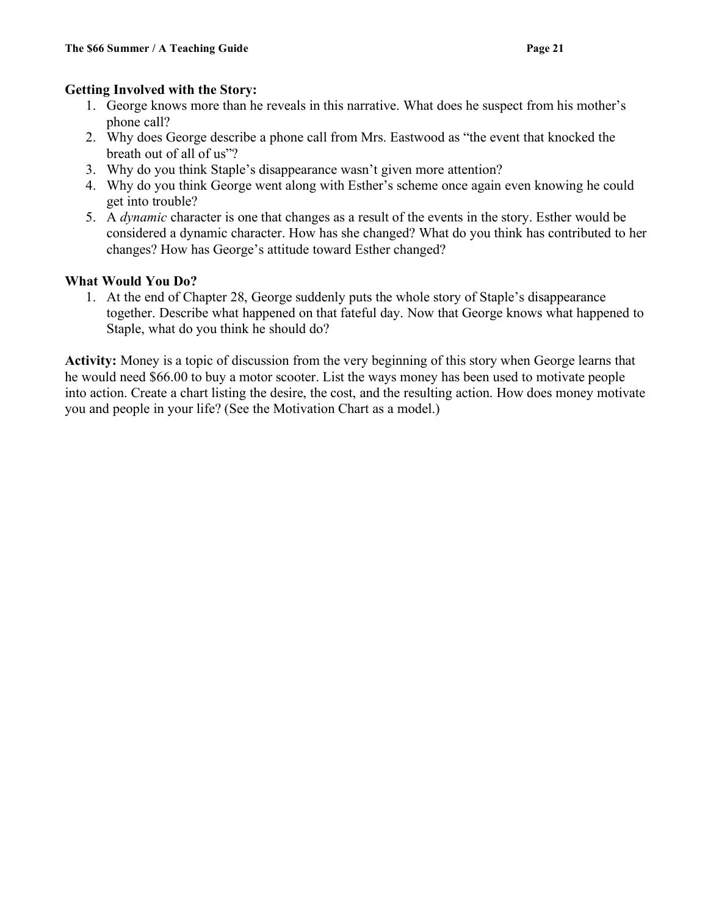### **Getting Involved with the Story:**

- 1. George knows more than he reveals in this narrative. What does he suspect from his mother's phone call?
- 2. Why does George describe a phone call from Mrs. Eastwood as "the event that knocked the breath out of all of us"?
- 3. Why do you think Staple's disappearance wasn't given more attention?
- 4. Why do you think George went along with Esther's scheme once again even knowing he could get into trouble?
- 5. A *dynamic* character is one that changes as a result of the events in the story. Esther would be considered a dynamic character. How has she changed? What do you think has contributed to her changes? How has George's attitude toward Esther changed?

### **What Would You Do?**

1. At the end of Chapter 28, George suddenly puts the whole story of Staple's disappearance together. Describe what happened on that fateful day. Now that George knows what happened to Staple, what do you think he should do?

**Activity:** Money is a topic of discussion from the very beginning of this story when George learns that he would need \$66.00 to buy a motor scooter. List the ways money has been used to motivate people into action. Create a chart listing the desire, the cost, and the resulting action. How does money motivate you and people in your life? (See the Motivation Chart as a model.)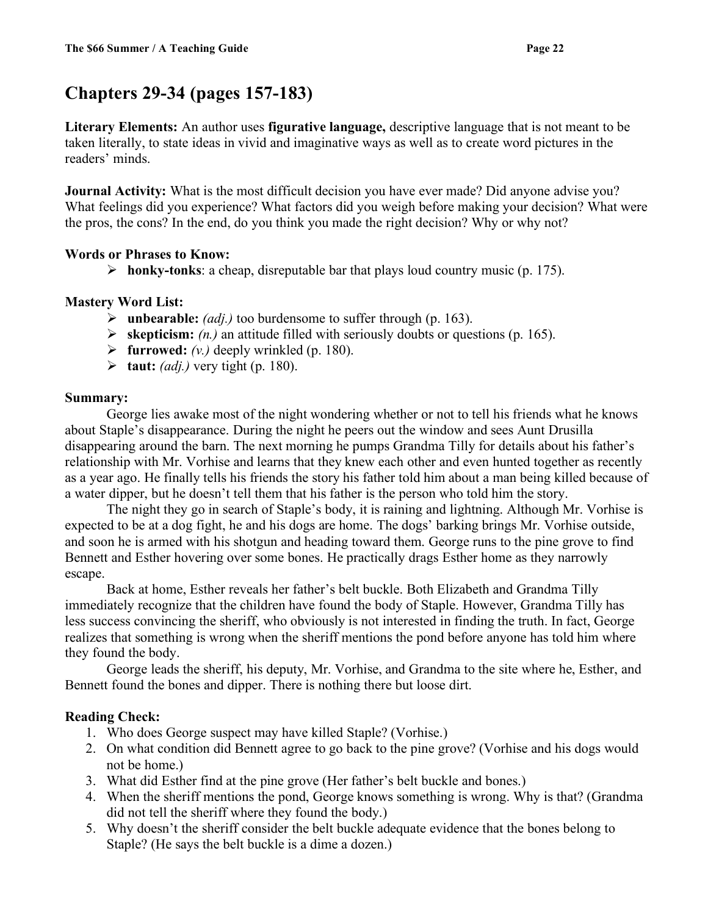# **Chapters 29-34 (pages 157-183)**

**Literary Elements:** An author uses **figurative language,** descriptive language that is not meant to be taken literally, to state ideas in vivid and imaginative ways as well as to create word pictures in the readers' minds.

**Journal Activity:** What is the most difficult decision you have ever made? Did anyone advise you? What feelings did you experience? What factors did you weigh before making your decision? What were the pros, the cons? In the end, do you think you made the right decision? Why or why not?

### **Words or Phrases to Know:**

 $\triangleright$  **honky-tonks**: a cheap, disreputable bar that plays loud country music (p. 175).

### **Mastery Word List:**

- **unbearable:** *(adj.)* too burdensome to suffer through (p. 163).
- **skepticism:** *(n.)* an attitude filled with seriously doubts or questions (p. 165).
- $\triangleright$  **furrowed:**  $(v_i)$  deeply wrinkled (p. 180).
- $\blacktriangleright$  **taut:** *(adj.)* very tight (p. 180).

### **Summary:**

George lies awake most of the night wondering whether or not to tell his friends what he knows about Staple's disappearance. During the night he peers out the window and sees Aunt Drusilla disappearing around the barn. The next morning he pumps Grandma Tilly for details about his father's relationship with Mr. Vorhise and learns that they knew each other and even hunted together as recently as a year ago. He finally tells his friends the story his father told him about a man being killed because of a water dipper, but he doesn't tell them that his father is the person who told him the story.

The night they go in search of Staple's body, it is raining and lightning. Although Mr. Vorhise is expected to be at a dog fight, he and his dogs are home. The dogs' barking brings Mr. Vorhise outside, and soon he is armed with his shotgun and heading toward them. George runs to the pine grove to find Bennett and Esther hovering over some bones. He practically drags Esther home as they narrowly escape.

Back at home, Esther reveals her father's belt buckle. Both Elizabeth and Grandma Tilly immediately recognize that the children have found the body of Staple. However, Grandma Tilly has less success convincing the sheriff, who obviously is not interested in finding the truth. In fact, George realizes that something is wrong when the sheriff mentions the pond before anyone has told him where they found the body.

George leads the sheriff, his deputy, Mr. Vorhise, and Grandma to the site where he, Esther, and Bennett found the bones and dipper. There is nothing there but loose dirt.

### **Reading Check:**

- 1. Who does George suspect may have killed Staple? (Vorhise.)
- 2. On what condition did Bennett agree to go back to the pine grove? (Vorhise and his dogs would not be home.)
- 3. What did Esther find at the pine grove (Her father's belt buckle and bones.)
- 4. When the sheriff mentions the pond, George knows something is wrong. Why is that? (Grandma did not tell the sheriff where they found the body.)
- 5. Why doesn't the sheriff consider the belt buckle adequate evidence that the bones belong to Staple? (He says the belt buckle is a dime a dozen.)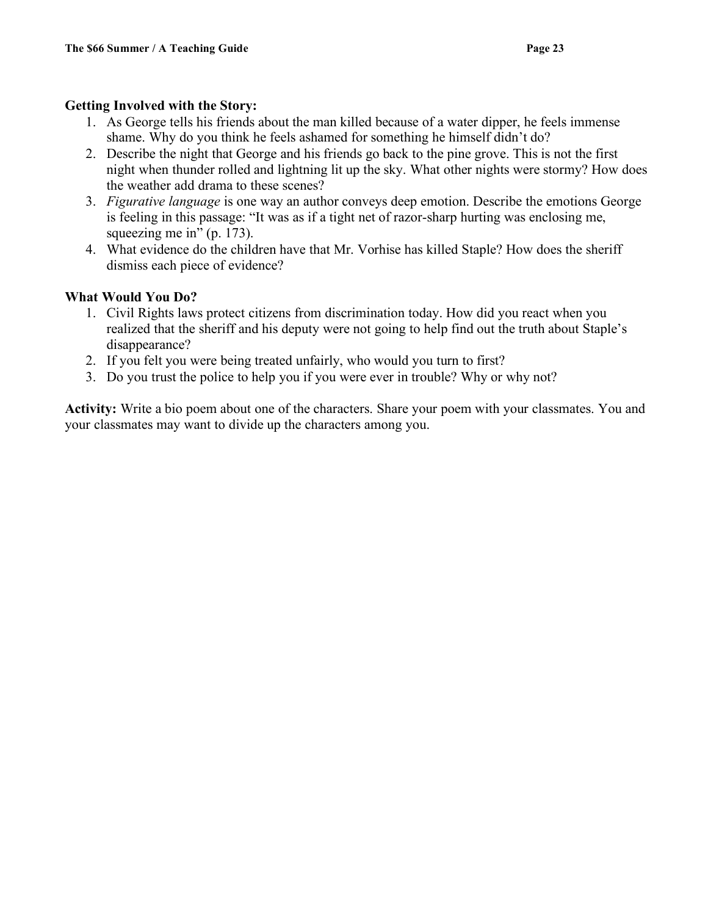### **Getting Involved with the Story:**

- 1. As George tells his friends about the man killed because of a water dipper, he feels immense shame. Why do you think he feels ashamed for something he himself didn't do?
- 2. Describe the night that George and his friends go back to the pine grove. This is not the first night when thunder rolled and lightning lit up the sky. What other nights were stormy? How does the weather add drama to these scenes?
- 3. *Figurative language* is one way an author conveys deep emotion. Describe the emotions George is feeling in this passage: "It was as if a tight net of razor-sharp hurting was enclosing me, squeezing me in" (p. 173).
- 4. What evidence do the children have that Mr. Vorhise has killed Staple? How does the sheriff dismiss each piece of evidence?

### **What Would You Do?**

- 1. Civil Rights laws protect citizens from discrimination today. How did you react when you realized that the sheriff and his deputy were not going to help find out the truth about Staple's disappearance?
- 2. If you felt you were being treated unfairly, who would you turn to first?
- 3. Do you trust the police to help you if you were ever in trouble? Why or why not?

**Activity:** Write a bio poem about one of the characters. Share your poem with your classmates. You and your classmates may want to divide up the characters among you.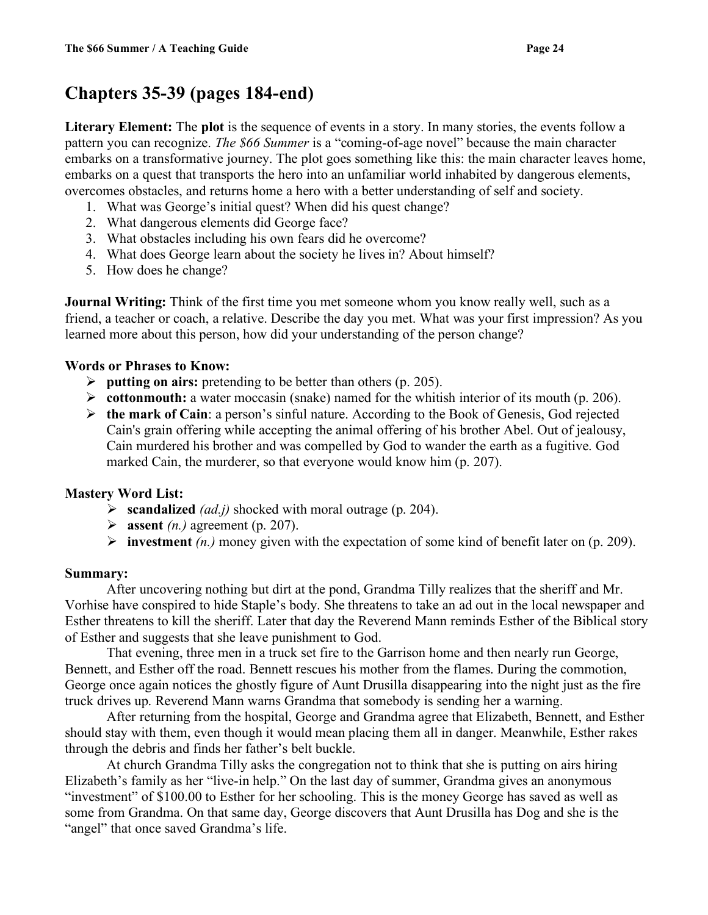### **Chapters 35-39 (pages 184-end)**

**Literary Element:** The **plot** is the sequence of events in a story. In many stories, the events follow a pattern you can recognize. *The \$66 Summer* is a "coming-of-age novel" because the main character embarks on a transformative journey. The plot goes something like this: the main character leaves home, embarks on a quest that transports the hero into an unfamiliar world inhabited by dangerous elements, overcomes obstacles, and returns home a hero with a better understanding of self and society.

- 1. What was George's initial quest? When did his quest change?
- 2. What dangerous elements did George face?
- 3. What obstacles including his own fears did he overcome?
- 4. What does George learn about the society he lives in? About himself?
- 5. How does he change?

**Journal Writing:** Think of the first time you met someone whom you know really well, such as a friend, a teacher or coach, a relative. Describe the day you met. What was your first impression? As you learned more about this person, how did your understanding of the person change?

#### **Words or Phrases to Know:**

- **putting on airs:** pretending to be better than others (p. 205).
- **cottonmouth:** a water moccasin (snake) named for the whitish interior of its mouth (p. 206).
- **the mark of Cain**: a person's sinful nature. According to the Book of Genesis, God rejected Cain's grain offering while accepting the animal offering of his brother Abel. Out of jealousy, Cain murdered his brother and was compelled by God to wander the earth as a fugitive. God marked Cain, the murderer, so that everyone would know him (p. 207).

#### **Mastery Word List:**

- **scandalized** *(ad.j)* shocked with moral outrage (p. 204).
- $\triangleright$  **assent** *(n.)* agreement (p. 207).
- **investment**  $(n)$  money given with the expectation of some kind of benefit later on  $(p. 209)$ .

#### **Summary:**

After uncovering nothing but dirt at the pond, Grandma Tilly realizes that the sheriff and Mr. Vorhise have conspired to hide Staple's body. She threatens to take an ad out in the local newspaper and Esther threatens to kill the sheriff. Later that day the Reverend Mann reminds Esther of the Biblical story of Esther and suggests that she leave punishment to God.

That evening, three men in a truck set fire to the Garrison home and then nearly run George, Bennett, and Esther off the road. Bennett rescues his mother from the flames. During the commotion, George once again notices the ghostly figure of Aunt Drusilla disappearing into the night just as the fire truck drives up. Reverend Mann warns Grandma that somebody is sending her a warning.

After returning from the hospital, George and Grandma agree that Elizabeth, Bennett, and Esther should stay with them, even though it would mean placing them all in danger. Meanwhile, Esther rakes through the debris and finds her father's belt buckle.

At church Grandma Tilly asks the congregation not to think that she is putting on airs hiring Elizabeth's family as her "live-in help." On the last day of summer, Grandma gives an anonymous "investment" of \$100.00 to Esther for her schooling. This is the money George has saved as well as some from Grandma. On that same day, George discovers that Aunt Drusilla has Dog and she is the "angel" that once saved Grandma's life.